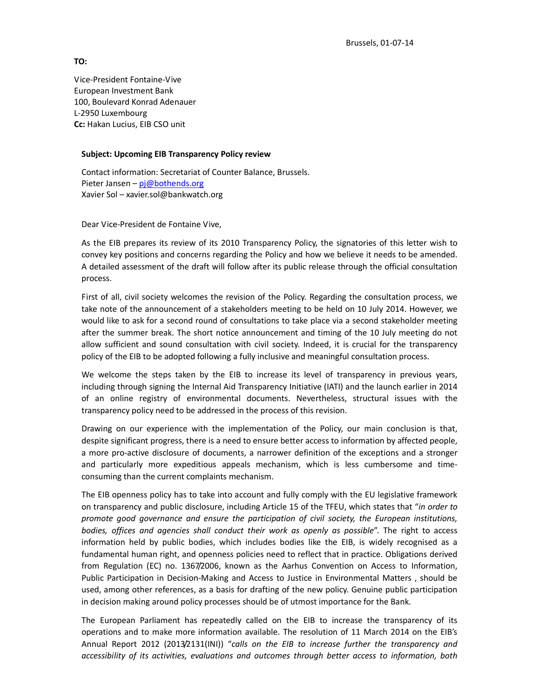**TO:**

Vice-President Fontaine-Vive European Investment Bank 100, Boulevard Konrad Adenauer L-2950 Luxembourg **Cc:** Hakan Lucius, EIB CSO unit

## **Subject: Upcoming EIB Transparency Policy review**

Contact information: Secretariat of Counter Balance, Brussels. Pieter Jansen – pj@bothends.org Xavier Sol – xavier.sol@bankwatch.org

Dear Vice-President de Fontaine Vive,

As the EIB prepares its review of its 2010 Transparency Policy, the signatories of this letter wish to convey key positions and concerns regarding the Policy and how we believe it needs to be amended. A detailed assessment of the draft will follow after its public release through the official consultation process.

First of all, civil society welcomes the revision of the Policy. Regarding the consultation process, we take note of the announcement of a stakeholders meeting to be held on 10 July 2014. However, we would like to ask for a second round of consultations to take place via a second stakeholder meeting after the summer break. The short notice announcement and timing of the 10 July meeting do not allow sufficient and sound consultation with civil society. Indeed, it is crucial for the transparency policy of the EIB to be adopted following a fully inclusive and meaningful consultation process.

We welcome the steps taken by the EIB to increase its level of transparency in previous years, including through signing the Internal Aid Transparency Initiative (IATI) and the launch earlier in 2014 of an online registry of environmental documents. Nevertheless, structural issues with the transparency policy need to be addressed in the process of this revision.

Drawing on our experience with the implementation of the Policy, our main conclusion is that, despite significant progress, there is a need to ensure better access to information by affected people, a more pro-active disclosure of documents, a narrower definition of the exceptions and a stronger and particularly more expeditious appeals mechanism, which is less cumbersome and timeconsuming than the current complaints mechanism.

The EIB openness policy has to take into account and fully comply with the EU legislative framework on transparency and public disclosure, including Article 15 of the TFEU, which states that "*in order to promote good governance and ensure the participation of civil society, the European institutions, bodies, offices and agencies shall conduct their work as openly as possible*". The right to access information held by public bodies, which includes bodies like the EIB, is widely recognised as a fundamental human right, and openness policies need to reflect that in practice. Obligations derived from Regulation (EC) no. 1367/2006, known as the Aarhus Convention on Access to Information, Public Participation in Decision-Making and Access to Justice in Environmental Matters , should be used, among other references, as a basis for drafting of the new policy. Genuine public participation in decision making around policy processes should be of utmost importance for the Bank.

The European Parliament has repeatedly called on the EIB to increase the transparency of its operations and to make more information available. The resolution of 11 March 2014 on the EIB's Annual Report 2012 (2013/2131(INI)) "*calls on the EIB to increase further the transparency and accessibility of its activities, evaluations and outcomes through better access to information, both*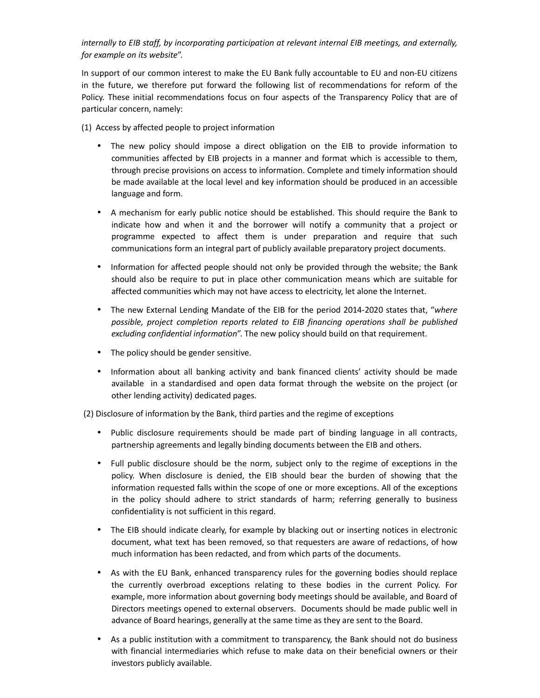## *internally to EIB staff, by incorporating participation at relevant internal EIB meetings, and externally, for example on its website*".

In support of our common interest to make the EU Bank fully accountable to EU and non-EU citizens in the future, we therefore put forward the following list of recommendations for reform of the Policy. These initial recommendations focus on four aspects of the Transparency Policy that are of particular concern, namely:

(1) Access by affected people to project information

- The new policy should impose a direct obligation on the EIB to provide information to communities affected by EIB projects in a manner and format which is accessible to them, through precise provisions on access to information. Complete and timely information should be made available at the local level and key information should be produced in an accessible language and form.
- A mechanism for early public notice should be established. This should require the Bank to indicate how and when it and the borrower will notify a community that a project or programme expected to affect them is under preparation and require that such communications form an integral part of publicly available preparatory project documents.
- Information for affected people should not only be provided through the website; the Bank should also be require to put in place other communication means which are suitable for affected communities which may not have access to electricity, let alone the Internet.
- The new External Lending Mandate of the EIB for the period 2014-2020 states that, "*where possible, project completion reports related to EIB financing operations shall be published excluding confidential information*". The new policy should build on that requirement.
- The policy should be gender sensitive.
- Information about all banking activity and bank financed clients' activity should be made available in a standardised and open data format through the website on the project (or other lending activity) dedicated pages.

(2) Disclosure of information by the Bank, third parties and the regime of exceptions

- Public disclosure requirements should be made part of binding language in all contracts, partnership agreements and legally binding documents between the EIB and others.
- Full public disclosure should be the norm, subject only to the regime of exceptions in the policy. When disclosure is denied, the EIB should bear the burden of showing that the information requested falls within the scope of one or more exceptions. All of the exceptions in the policy should adhere to strict standards of harm; referring generally to business confidentiality is not sufficient in this regard.
- The EIB should indicate clearly, for example by blacking out or inserting notices in electronic document, what text has been removed, so that requesters are aware of redactions, of how much information has been redacted, and from which parts of the documents.
- As with the EU Bank, enhanced transparency rules for the governing bodies should replace the currently overbroad exceptions relating to these bodies in the current Policy. For example, more information about governing body meetings should be available, and Board of Directors meetings opened to external observers. Documents should be made public well in advance of Board hearings, generally at the same time as they are sent to the Board.
- As a public institution with a commitment to transparency, the Bank should not do business with financial intermediaries which refuse to make data on their beneficial owners or their investors publicly available.